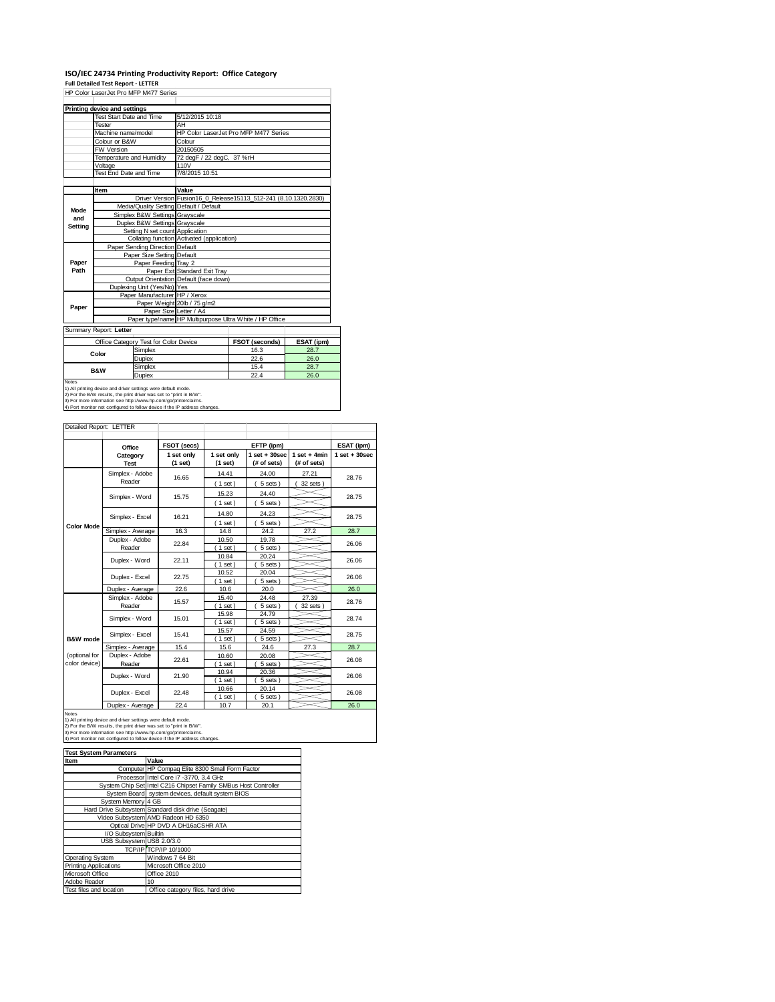## **ISO/IEC 24734 Printing Productivity Report: Office Category**

**Full Detailed Test Report ‐ LETTER** HP Color LaserJet Pro MFP M477 Series

|         | Printing device and settings            |                                            |                                                                 |            |  |
|---------|-----------------------------------------|--------------------------------------------|-----------------------------------------------------------------|------------|--|
|         | Test Start Date and Time                | 5/12/2015 10:18                            |                                                                 |            |  |
|         | Tester                                  | AH                                         |                                                                 |            |  |
|         | Machine name/model                      |                                            | HP Color LaserJet Pro MFP M477 Series                           |            |  |
|         | Colour or B&W                           | Colour                                     |                                                                 |            |  |
|         | FW Version                              | 20150505                                   |                                                                 |            |  |
|         | Temperature and Humidity                | 72 degF / 22 degC, 37 %rH                  |                                                                 |            |  |
|         | Voltage                                 | 110V                                       |                                                                 |            |  |
|         | Test End Date and Time                  | 7/8/2015 10:51                             |                                                                 |            |  |
|         |                                         |                                            |                                                                 |            |  |
|         | Item                                    | Value                                      |                                                                 |            |  |
|         |                                         |                                            | Driver Version Fusion16_0_Release15113_512-241 (8.10.1320.2830) |            |  |
| Mode    | Media/Quality Setting Default / Default |                                            |                                                                 |            |  |
| and     | Simplex B&W Settings Grayscale          |                                            |                                                                 |            |  |
| Setting | Duplex B&W Settings Grayscale           |                                            |                                                                 |            |  |
|         | Setting N set count Application         |                                            |                                                                 |            |  |
|         |                                         | Collating function Activated (application) |                                                                 |            |  |
|         | Paper Sending Direction Default         |                                            |                                                                 |            |  |
|         | Paper Size Setting Default              |                                            |                                                                 |            |  |
| Paper   | Paper Feeding Tray 2                    |                                            |                                                                 |            |  |
| Path    |                                         | Paper Exit Standard Exit Tray              |                                                                 |            |  |
|         |                                         | Output Orientation Default (face down)     |                                                                 |            |  |
|         | Duplexing Unit (Yes/No) Yes             |                                            |                                                                 |            |  |
|         | Paper Manufacturer HP / Xerox           |                                            |                                                                 |            |  |
| Paper   |                                         | Paper Weight 20lb / 75 g/m2                |                                                                 |            |  |
|         | Paper Size Letter / A4                  |                                            |                                                                 |            |  |
|         |                                         |                                            | Paper type/name HP Multipurpose Ultra White / HP Office         |            |  |
|         | Summary Report: Letter                  |                                            |                                                                 |            |  |
|         | Office Category Test for Color Device   |                                            | FSOT (seconds)                                                  | ESAT (ipm) |  |
|         |                                         |                                            |                                                                 |            |  |

T

|                                                                        | .       |      |      |  |  |
|------------------------------------------------------------------------|---------|------|------|--|--|
| Color                                                                  | Simplex | 16.3 | 28.7 |  |  |
|                                                                        | Duplex  | 22.6 | 26.0 |  |  |
| <b>B&amp;W</b>                                                         | Simplex | 15.4 | 28.7 |  |  |
|                                                                        | Duplex  | 22.4 | 26.0 |  |  |
| Notes<br>1) All printing device and driver settings were default mode. |         |      |      |  |  |

1) All printing device and driver settings were default mode.<br>2) For the B/W results, the print driver was set to "print in B/W".<br>3) For more information see http://www.hp.com/go/printerclaims.<br>4) Port monitor not configur

| Detailed Report: LETTER        |                           |                       |                       |                                  |                               |                   |
|--------------------------------|---------------------------|-----------------------|-----------------------|----------------------------------|-------------------------------|-------------------|
|                                | Office                    | FSOT (secs)           |                       | EFTP (ipm)                       |                               | ESAT (ipm)        |
|                                | Category<br><b>Test</b>   | 1 set only<br>(1 set) | 1 set only<br>(1 set) | $1$ set $+30$ sec<br>(# of sets) | $1$ set + 4min<br>(# of sets) | $1$ set $+30$ sec |
|                                | Simplex - Adobe<br>Reader | 16.65                 | 14.41<br>(1 set)      | 24.00<br>5 sets)                 | 27.21<br>32 sets              | 28.76             |
|                                | Simplex - Word            | 15.75                 | 15.23<br>$1$ set)     | 24.40<br>5 sets)                 |                               | 28.75             |
|                                | Simplex - Excel           | 16.21                 | 14.80<br>$1$ set)     | 24.23<br>5 sets)                 |                               | 28.75             |
| <b>Color Mode</b>              | Simplex - Average         | 16.3                  | 14.8                  | 24.2                             | 27.2                          | 28.7              |
|                                | Duplex - Adobe<br>Reader  | 22.84                 | 10.50<br>$1$ set)     | 19.78<br>5 sets)                 |                               | 26.06             |
|                                | Duplex - Word             | 22.11                 | 10.84<br>$1$ set)     | 20.24<br>5 sets)                 |                               | 26.06             |
|                                | Duplex - Excel            | 22.75                 | 10.52<br>1 set        | 20.04<br>5 sets)                 |                               | 26.06             |
|                                | Duplex - Average          | 22.6                  | 10.6                  | 20.0                             |                               | 26.0              |
|                                | Simplex - Adobe<br>Reader | 15.57                 | 15.40<br>$1$ set)     | 24.48<br>5 sets)                 | 27.39<br>32 sets              | 28.76             |
|                                | Simplex - Word            | 15.01                 | 15.98<br>$1$ set)     | 24.79<br>5 sets)                 |                               | 28.74             |
| B&W mode                       | Simplex - Excel           | 15.41                 | 15.57<br>1 set        | 24.59<br>5 sets)                 |                               | 28.75             |
|                                | Simplex - Average         | 15.4                  | 15.6                  | 24.6                             | 27.3                          | 28.7              |
| (optional for<br>color device) | Duplex - Adobe<br>Reader  | 22.61                 | 10.60<br>$1$ set)     | 20.08<br>5 sets)                 |                               | 26.08             |
|                                | Duplex - Word             | 21.90                 | 10.94<br>$1$ set)     | 20.36<br>5 sets)                 |                               | 26.06             |
|                                | Duplex - Excel            | 22.48                 | 10.66<br>$1$ set)     | 20.14<br>5 sets)                 |                               | 26.08             |
|                                | Duploy - Average          | 22A                   | 107                   | 20.1                             |                               | <b>26 Q</b>       |

Notes<br>
Notes<br>
1) All primaring device and driver settings were detail mode.<br>
2) For the BAW results, the print driver was set to "print in BAW".<br>
3) For the BAW results, the print driver was set to "print in BAW".<br>
4) Port

| <b>Test System Parameters</b> |                                                                 |  |  |
|-------------------------------|-----------------------------------------------------------------|--|--|
| Item                          | Value                                                           |  |  |
|                               | Computer HP Compag Elite 8300 Small Form Factor                 |  |  |
|                               | Processor Intel Core i7 -3770, 3.4 GHz                          |  |  |
|                               | System Chip Set Intel C216 Chipset Family SMBus Host Controller |  |  |
|                               | System Board system devices, default system BIOS                |  |  |
| System Memory 4 GB            |                                                                 |  |  |
|                               | Hard Drive Subsystem Standard disk drive (Seagate)              |  |  |
|                               | Video Subsystem AMD Radeon HD 6350                              |  |  |
|                               | Optical Drive HP DVD A DH16aCSHR ATA                            |  |  |
| I/O Subsystem Builtin         |                                                                 |  |  |
| USB Subsystem USB 2.0/3.0     |                                                                 |  |  |
|                               | TCP/IP TCP/IP 10/1000                                           |  |  |
| Operating System              | Windows 7 64 Bit                                                |  |  |
| <b>Printing Applications</b>  | Microsoft Office 2010                                           |  |  |
| Microsoft Office              | Office 2010                                                     |  |  |
| Adobe Reader                  | 10                                                              |  |  |
| Test files and location       | Office category files, hard drive                               |  |  |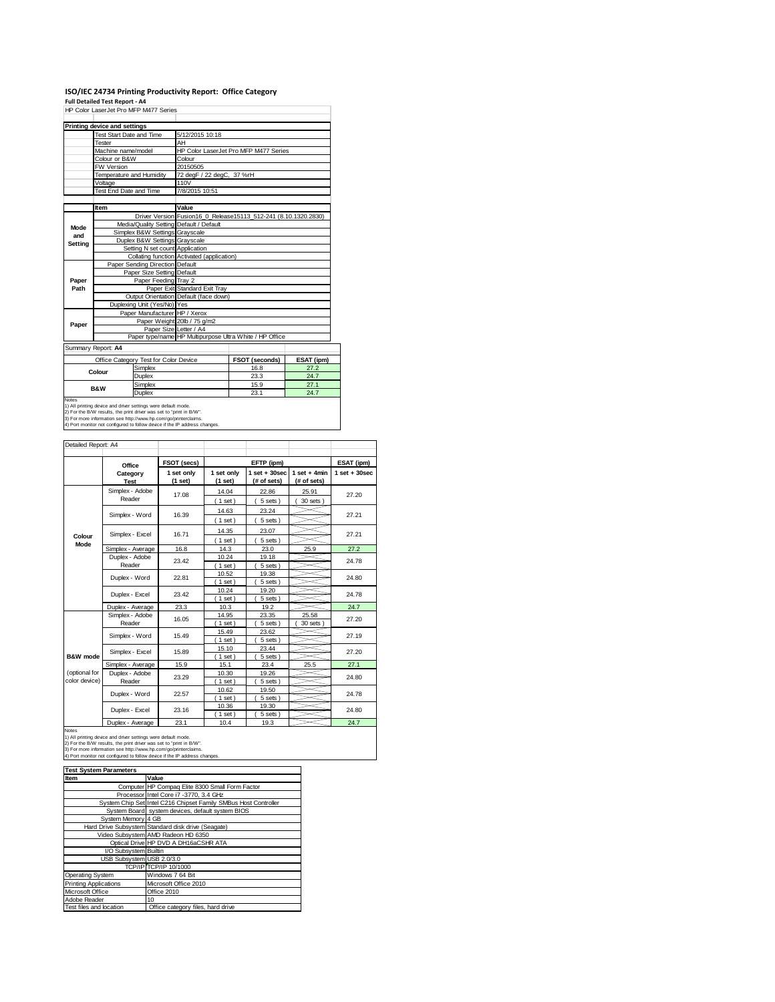# ISO/IEC 24734 Printing Productivity Report: Office Category<br>Full Detailed Test Report - A4<br>HP Color LaserJet Pro MFP M477 Series

|                    | Printing device and settings            |                                                                 |
|--------------------|-----------------------------------------|-----------------------------------------------------------------|
|                    | Test Start Date and Time                | 5/12/2015 10:18                                                 |
|                    | Tester                                  | AH                                                              |
|                    | Machine name/model                      | HP Color LaserJet Pro MFP M477 Series                           |
|                    | Colour or B&W                           | Colour                                                          |
|                    | <b>FW Version</b>                       | 20150505                                                        |
|                    | Temperature and Humidity                | 72 degF / 22 degC, 37 %rH                                       |
|                    | Voltage                                 | 110V                                                            |
|                    | Test End Date and Time                  | 7/8/2015 10:51                                                  |
|                    |                                         |                                                                 |
|                    | Item                                    | Value                                                           |
|                    |                                         | Driver Version Fusion16_0_Release15113_512-241 (8.10.1320.2830) |
| Mode               | Media/Quality Setting Default / Default |                                                                 |
| and                | Simplex B&W Settings Grayscale          |                                                                 |
| Setting            | Duplex B&W Settings Grayscale           |                                                                 |
|                    | Setting N set count Application         |                                                                 |
|                    |                                         | Collating function Activated (application)                      |
|                    | Paper Sending Direction Default         |                                                                 |
|                    | Paper Size Setting Default              |                                                                 |
| Paper              | Paper Feeding Tray 2                    |                                                                 |
| Path               |                                         | Paper Exit Standard Exit Tray                                   |
|                    |                                         | Output Orientation Default (face down)                          |
|                    | Duplexing Unit (Yes/No) Yes             |                                                                 |
|                    | Paper Manufacturer HP / Xerox           |                                                                 |
| Paper              |                                         | Paper Weight 20lb / 75 g/m2                                     |
|                    | Paper Size Letter / A4                  |                                                                 |
|                    |                                         | Paper type/name HP Multipurpose Ultra White / HP Office         |
| Summany Poport: AA |                                         |                                                                 |

Summary Report: **A4**

|                                                                            | Office Category Test for Color Device | <b>FSOT (seconds)</b> | ESAT (ipm) |  |  |
|----------------------------------------------------------------------------|---------------------------------------|-----------------------|------------|--|--|
| Simplex<br>Colour                                                          |                                       | 16.8                  | 27.2       |  |  |
|                                                                            | Duplex                                | 23.3                  | 24.7       |  |  |
| <b>B&amp;W</b>                                                             | Simplex                               | 15.9                  | 27.1       |  |  |
|                                                                            | Duplex                                | 23.1                  | 24.7       |  |  |
| <b>Notes</b>                                                               |                                       |                       |            |  |  |
| 1) All printing device and driver settings were default mode.              |                                       |                       |            |  |  |
| 2) For the B/W results, the print driver was set to "print in B/W".        |                                       |                       |            |  |  |
| [3] For more information see http://www.hp.com/go/printerclaims.           |                                       |                       |            |  |  |
| 4) Port monitor not configured to follow device if the IP address changes. |                                       |                       |            |  |  |

| Detailed Report: A4            |                           |                       |                       |                                  |                               |                   |  |
|--------------------------------|---------------------------|-----------------------|-----------------------|----------------------------------|-------------------------------|-------------------|--|
|                                | Office                    | FSOT (secs)           |                       | EFTP (ipm)                       |                               | ESAT (ipm)        |  |
|                                | Category<br><b>Test</b>   | 1 set only<br>(1 set) | 1 set only<br>(1 set) | $1$ set $+30$ sec<br>(# of sets) | $1$ set + 4min<br>(# of sets) | $1$ set $+30$ sec |  |
|                                | Simplex - Adobe<br>Reader | 17.08                 | 14.04<br>$1$ set)     | 22.86<br>5 sets)                 | 25.91<br>$30$ sets $)$        | 27.20             |  |
|                                | Simplex - Word            | 16.39                 | 14.63<br>$1$ set)     | 23.24<br>5 sets)                 |                               | 27.21             |  |
| Colour                         | Simplex - Excel           | 16.71                 | 14.35<br>$1$ set)     | 23.07<br>5 sets)                 |                               | 27.21             |  |
| Mode                           | Simplex - Average         | 16.8                  | 14.3                  | 23.0                             | 25.9                          | 27.2              |  |
|                                | Duplex - Adobe<br>Reader  | 23.42                 | 10.24<br>$1$ set)     | 19.18<br>5 sets)                 |                               | 24.78             |  |
|                                | Duplex - Word             | 22.81                 | 10.52<br>$1$ set)     | 19.38<br>5 sets)                 |                               | 24.80             |  |
|                                | Duplex - Excel            | 23.42                 | 10.24<br>$1$ set)     | 19.20<br>5 sets)                 |                               | 24.78             |  |
|                                | Duplex - Average          | 23.3                  | 10.3                  | 19.2                             |                               | 24.7              |  |
|                                | Simplex - Adobe<br>Reader | 16.05                 | 14.95<br>$1$ set)     | 23.35<br>5 sets)                 | 25.58<br>30 sets              | 27.20             |  |
|                                | Simplex - Word            | 15.49                 | 15.49<br>$1$ set)     | 23.62<br>5 sets)                 |                               | 27.19             |  |
| B&W mode                       | Simplex - Excel           | 15.89                 | 15.10<br>$1$ set)     | 23.44<br>5 sets)                 |                               | 27.20             |  |
|                                | Simplex - Average         | 15.9                  | 15.1                  | 23.4                             | 25.5                          | 27.1              |  |
| (optional for<br>color device) | Duplex - Adobe<br>Reader  | 23.29                 | 10.30<br>$1$ set)     | 19.26<br>5 sets)                 |                               | 24.80             |  |
|                                | Duplex - Word             | 22.57                 | 10.62<br>$1$ set)     | 19.50<br>5 sets)                 |                               | 24.78             |  |
|                                | Duplex - Excel            | 23.16                 | 10.36<br>$1$ set)     | 19.30<br>5 sets)                 |                               | 24.80             |  |
|                                | Duplex - Average          | 23.1                  | 10.4                  | 19.3                             |                               | 24.7              |  |

| <b>Notes</b>                                                               |                                                                 |  |  |  |
|----------------------------------------------------------------------------|-----------------------------------------------------------------|--|--|--|
| 1) All printing device and driver settings were default mode.              |                                                                 |  |  |  |
| 2) For the B/W results, the print driver was set to "print in B/W".        |                                                                 |  |  |  |
| 3) For more information see http://www.hp.com/go/printerclaims.            |                                                                 |  |  |  |
| 4) Port monitor not configured to follow device if the IP address changes. |                                                                 |  |  |  |
|                                                                            |                                                                 |  |  |  |
| <b>Test System Parameters</b>                                              |                                                                 |  |  |  |
| Item                                                                       | Value                                                           |  |  |  |
|                                                                            | Computer HP Compag Elite 8300 Small Form Factor                 |  |  |  |
|                                                                            | Processor Intel Core i7 -3770, 3.4 GHz                          |  |  |  |
|                                                                            | System Chip Set Intel C216 Chipset Family SMBus Host Controller |  |  |  |
|                                                                            | System Board system devices, default system BIOS                |  |  |  |
| System Memory 4 GB                                                         |                                                                 |  |  |  |
|                                                                            | Hard Drive Subsystem Standard disk drive (Seagate)              |  |  |  |
|                                                                            | Video Subsystem AMD Radeon HD 6350                              |  |  |  |
|                                                                            | Optical Drive HP DVD A DH16aCSHR ATA                            |  |  |  |
| I/O Subsystem Builtin                                                      |                                                                 |  |  |  |
| USB Subsystem USB 2.0/3.0                                                  |                                                                 |  |  |  |
|                                                                            | TCP/IPITCP/IP 10/1000                                           |  |  |  |
| Operating System                                                           | Windows 7 64 Bit                                                |  |  |  |
| <b>Printing Applications</b>                                               | Microsoft Office 2010                                           |  |  |  |
| Microsoft Office                                                           | Office 2010                                                     |  |  |  |
| Adobe Reader                                                               | 10                                                              |  |  |  |
| Test files and location                                                    | Office category files, hard drive                               |  |  |  |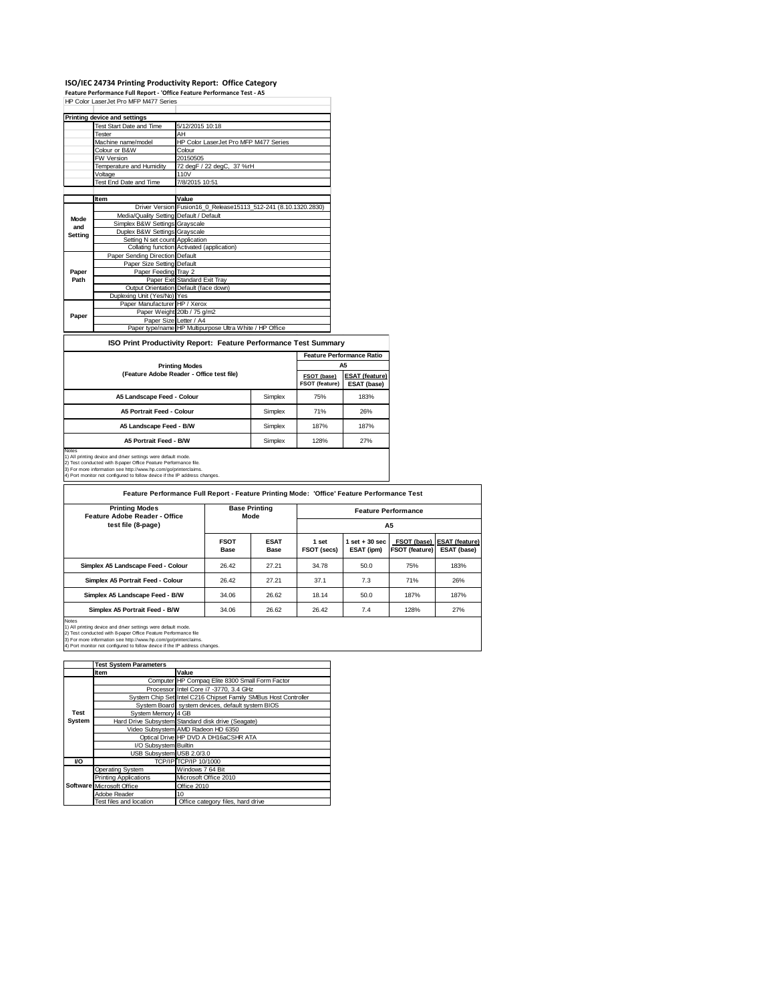### **ISO/IEC 24734 Printing Productivity Report: Office Category**

**Feature Performance Full Report ‐ 'Office Feature Performance Test ‐ A5**

|         | HP Color LaserJet Pro MFP M477 Series   |                                                                 |
|---------|-----------------------------------------|-----------------------------------------------------------------|
|         | Printing device and settings            |                                                                 |
|         | Test Start Date and Time                | 5/12/2015 10:18                                                 |
|         | Tester                                  | AH                                                              |
|         | Machine name/model                      | HP Color LaserJet Pro MFP M477 Series                           |
|         | Colour or B&W                           | Colour                                                          |
|         | FW Version                              | 20150505                                                        |
|         | Temperature and Humidity                | 72 degF / 22 degC, 37 %rH                                       |
|         | Voltage                                 | 110V                                                            |
|         | Test End Date and Time                  | 7/8/2015 10:51                                                  |
|         |                                         |                                                                 |
|         | Item                                    | Value                                                           |
|         |                                         | Driver Version Fusion16_0_Release15113_512-241 (8.10.1320.2830) |
| Mode    | Media/Quality Setting Default / Default |                                                                 |
| and     | Simplex B&W Settings Grayscale          |                                                                 |
| Setting | Duplex B&W Settings Grayscale           |                                                                 |
|         | Setting N set count Application         |                                                                 |
|         |                                         | Collating function Activated (application)                      |
|         | Paper Sending Direction Default         |                                                                 |
|         | Paper Size Setting Default              |                                                                 |
| Paper   | Paper Feeding Tray 2                    |                                                                 |
| Path    |                                         | Paper Exit Standard Exit Tray                                   |
|         |                                         | Output Orientation Default (face down)                          |
|         | Duplexing Unit (Yes/No) Yes             |                                                                 |
|         | Paper Manufacturer HP / Xerox           |                                                                 |
| Paper   |                                         | Paper Weight 20lb / 75 g/m2                                     |
|         | Paper Size Letter / A4                  |                                                                 |
|         |                                         | Paper type/name HP Multipurpose Ultra White / HP Office         |

### **ISO Print Productivity Report: Feature Performance Test Summary**

|                                                                               |         | <b>Feature Performance Ratio</b> |                                      |  |
|-------------------------------------------------------------------------------|---------|----------------------------------|--------------------------------------|--|
| <b>Printing Modes</b>                                                         |         |                                  | A5                                   |  |
| (Feature Adobe Reader - Office test file)                                     |         | FSOT (base)<br>FSOT (feature)    | <b>ESAT (feature)</b><br>ESAT (base) |  |
| A5 Landscape Feed - Colour                                                    | Simplex | 75%                              | 183%                                 |  |
| <b>A5 Portrait Feed - Colour</b>                                              | Simplex | 71%                              | 26%                                  |  |
| A5 Landscape Feed - B/W                                                       | Simplex | 187%                             | 187%                                 |  |
| A5 Portrait Feed - B/W                                                        | Simplex | 128%                             | 27%                                  |  |
| <b>Notes</b><br>1) All printing device and driver settings were default mode. |         |                                  |                                      |  |

1) All printing device and driver settings were default mode.<br>2) Test conducted with 8-paper Office Feature Performance file.<br>3) For more information see http://www.hp.com/go/printerclaims.<br>4) Port monitor not configured t

**Feature Performance Full Report - Feature Printing Mode: 'Office' Feature Performance Test**

| <b>Printing Modes</b><br>Feature Adobe Reader - Office | <b>Base Printing</b><br>Mode |                     | <b>Feature Performance</b> |                                 |                                      |                                      |
|--------------------------------------------------------|------------------------------|---------------------|----------------------------|---------------------------------|--------------------------------------|--------------------------------------|
| test file (8-page)                                     |                              |                     | A5                         |                                 |                                      |                                      |
|                                                        | <b>FSOT</b><br>Base          | <b>ESAT</b><br>Base | 1 set<br>FSOT (secs)       | $1$ set $+30$ sec<br>ESAT (ipm) | FSOT (base)<br><b>FSOT (feature)</b> | <b>ESAT (feature)</b><br>ESAT (base) |
| Simplex A5 Landscape Feed - Colour                     | 26.42                        | 27.21               | 34.78                      | 50.0                            | 75%                                  | 183%                                 |
| Simplex A5 Portrait Feed - Colour                      | 26.42                        | 27.21               | 37.1                       | 7.3                             | 71%                                  | 26%                                  |
| Simplex A5 Landscape Feed - B/W                        | 34.06                        | 26.62               | 18.14                      | 50.0                            | 187%                                 | 187%                                 |
| Simplex A5 Portrait Feed - B/W                         | 34.06                        | 26.62               | 26.42                      | 7.4                             | 128%                                 | 27%                                  |
| Motor                                                  |                              |                     |                            |                                 |                                      |                                      |

Notes<br>1) All printing device and driver settings were default mode.<br>2) Test conducted with 8-paper Office Feature Performance file<br>3) For more information see http://www.hp.com/go/printerclaims.<br>4) Port monitor not configu

|             | <b>Test System Parameters</b> |                                                                 |  |  |
|-------------|-------------------------------|-----------------------------------------------------------------|--|--|
|             | <b>Item</b>                   | Value                                                           |  |  |
|             |                               | Computer HP Compaq Elite 8300 Small Form Factor                 |  |  |
|             |                               | Processor Intel Core i7 -3770, 3.4 GHz                          |  |  |
|             |                               | System Chip Set Intel C216 Chipset Family SMBus Host Controller |  |  |
|             |                               | System Board system devices, default system BIOS                |  |  |
| <b>Test</b> | System Memory 4 GB            |                                                                 |  |  |
| System      |                               | Hard Drive Subsystem Standard disk drive (Seagate)              |  |  |
|             |                               | Video Subsystem AMD Radeon HD 6350                              |  |  |
|             |                               | Optical Drive HP DVD A DH16aCSHR ATA                            |  |  |
|             | I/O Subsystem Builtin         |                                                                 |  |  |
|             | USB Subsystem USB 2.0/3.0     |                                                                 |  |  |
| VO          |                               | TCP/IP TCP/IP 10/1000                                           |  |  |
|             | Operating System              | Windows 7 64 Bit                                                |  |  |
|             | <b>Printing Applications</b>  | Microsoft Office 2010                                           |  |  |
|             | Software Microsoft Office     | Office 2010                                                     |  |  |
|             | Adobe Reader                  | 10                                                              |  |  |
|             | Test files and location       | Office category files, hard drive                               |  |  |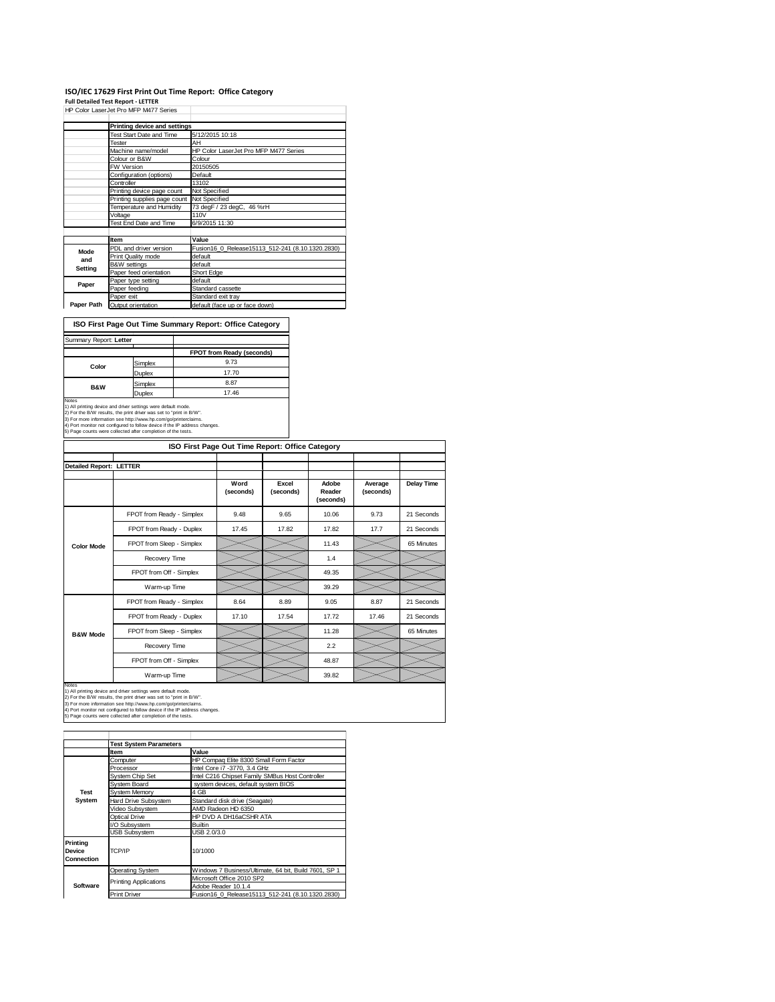# ISO/IEC 17629 First Print Out Time Report: Office Category<br>Full Detailed Test Report - LETTER<br>HP Color LaserJet Pro MFP M477 Series

|            | Printing device and settings |                                                  |
|------------|------------------------------|--------------------------------------------------|
|            | Test Start Date and Time     | 5/12/2015 10:18                                  |
|            | Tester                       | AH                                               |
|            | Machine name/model           | HP Color LaserJet Pro MFP M477 Series            |
|            | Colour or B&W                | Colour                                           |
|            | <b>FW Version</b>            | 20150505                                         |
|            | Configuration (options)      | Default                                          |
|            | Controller                   | 13102                                            |
|            | Printing device page count   | Not Specified                                    |
|            | Printing supplies page count | Not Specified                                    |
|            | Temperature and Humidity     | 73 degF / 23 degC, 46 %rH                        |
|            | Voltage                      | 110V                                             |
|            | Test End Date and Time       | 6/9/2015 11:30                                   |
|            |                              |                                                  |
|            | Item                         | Value                                            |
| Mode       | PDL and driver version       | Fusion16 0 Release15113 512-241 (8.10.1320.2830) |
| and        | Print Quality mode           | default                                          |
| Setting    | B&W settings                 | default                                          |
|            | Paper feed orientation       | Short Edge                                       |
| Paper      | Paper type setting           | default                                          |
|            | Paper feeding                | Standard cassette                                |
|            | Paper exit                   | Standard exit tray                               |
| Paper Path | Output orientation           | default (face up or face down)                   |

**ISO First Page Out Time Summary Report: Office Category**

| Summary Report: Letter                                                                                                                                                                                                                                                                                |         |                           |
|-------------------------------------------------------------------------------------------------------------------------------------------------------------------------------------------------------------------------------------------------------------------------------------------------------|---------|---------------------------|
|                                                                                                                                                                                                                                                                                                       |         | FPOT from Ready (seconds) |
|                                                                                                                                                                                                                                                                                                       | Simplex | 9.73                      |
| Color                                                                                                                                                                                                                                                                                                 | Duplex  | 17.70                     |
| <b>B&amp;W</b>                                                                                                                                                                                                                                                                                        | Simplex | 8.87                      |
|                                                                                                                                                                                                                                                                                                       | Duplex  | 17.46                     |
| <b>Notes</b><br>1) All printing device and driver settings were default mode.<br>2) For the B/W results, the print driver was set to "print in B/W".<br>3) For more information see http://www.hp.com/go/printerclaims.<br>4) Port monitor not configured to follow device if the IP address changes. |         |                           |
| 5) Page counts were collected after completion of the tests.                                                                                                                                                                                                                                          |         |                           |

| ISO First Page Out Time Report: Office Category |                           |                   |                    |                              |                      |            |
|-------------------------------------------------|---------------------------|-------------------|--------------------|------------------------------|----------------------|------------|
| <b>Detailed Report: LETTER</b>                  |                           |                   |                    |                              |                      |            |
|                                                 |                           | Word<br>(seconds) | Excel<br>(seconds) | Adobe<br>Reader<br>(seconds) | Average<br>(seconds) | Delay Time |
|                                                 | FPOT from Ready - Simplex | 9.48              | 9.65               | 10.06                        | 9.73                 | 21 Seconds |
|                                                 | FPOT from Ready - Duplex  | 17.45             | 17.82              | 17.82                        | 17.7                 | 21 Seconds |
| <b>Color Mode</b>                               | FPOT from Sleep - Simplex |                   |                    | 11.43                        |                      | 65 Minutes |
|                                                 | Recovery Time             |                   |                    | 1.4                          |                      |            |
|                                                 | FPOT from Off - Simplex   |                   |                    | 49.35                        |                      |            |
|                                                 | Warm-up Time              |                   |                    | 39.29                        |                      |            |
|                                                 | FPOT from Ready - Simplex | 8.64              | 8.89               | 9.05                         | 8.87                 | 21 Seconds |
|                                                 | FPOT from Ready - Duplex  | 17.10             | 17.54              | 17.72                        | 17.46                | 21 Seconds |
| <b>B&amp;W Mode</b>                             | FPOT from Sleep - Simplex |                   |                    | 11.28                        |                      | 65 Minutes |
|                                                 | Recovery Time             |                   |                    | 2.2                          |                      |            |
|                                                 | FPOT from Off - Simplex   |                   |                    | 48.87                        |                      |            |
|                                                 | Warm-up Time              |                   |                    | 39.82                        |                      |            |

Notes<br>1) All printing device and driver settings were default mode.<br>2) For the B/W results, the print driver was set to "print in B/W".<br>3) For more information see http://www.hp.com/go/printerclaims.<br>4) Port monitor not co

|                                         | <b>Test System Parameters</b> |                                                       |  |
|-----------------------------------------|-------------------------------|-------------------------------------------------------|--|
|                                         | <b>Item</b>                   | Value                                                 |  |
|                                         | Computer                      | HP Compag Elite 8300 Small Form Factor                |  |
|                                         | Processor                     | Intel Core i7 -3770, 3.4 GHz                          |  |
|                                         | System Chip Set               | Intel C216 Chipset Family SMBus Host Controller       |  |
|                                         | Svstem Board                  | system devices, default system BIOS                   |  |
| <b>Test</b>                             | System Memory                 | 4 GB                                                  |  |
| System                                  | Hard Drive Subsystem          | Standard disk drive (Seagate)                         |  |
|                                         | Video Subsystem               | AMD Radeon HD 6350                                    |  |
|                                         | Optical Drive                 | HP DVD A DH16aCSHR ATA                                |  |
|                                         | I/O Subsystem                 | <b>Builtin</b>                                        |  |
|                                         | <b>USB Subsystem</b>          | USB 2.0/3.0                                           |  |
| Printing<br><b>Device</b><br>Connection | TCP/IP                        | 10/1000                                               |  |
|                                         | Operating System              | Windows 7 Business/Ultimate, 64 bit, Build 7601, SP 1 |  |
|                                         |                               | Microsoft Office 2010 SP2                             |  |
| Software                                | <b>Printing Applications</b>  | Adobe Reader 10.1.4                                   |  |
|                                         | <b>Print Driver</b>           | Fusion16 0 Release15113 512-241 (8.10.1320.2830)      |  |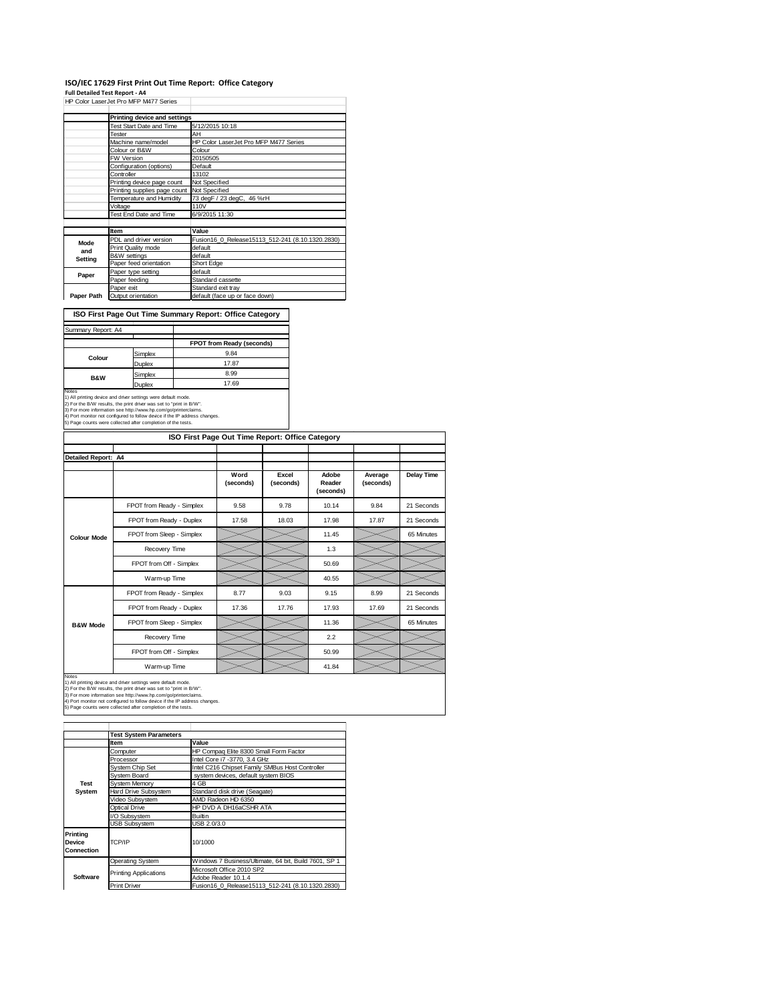## **ISO/IEC 17629 First Print Out Time Report: Office Category Full Detailed Test Report ‐ A4**

|            | HP Color LaserJet Pro MFP M477 Series |                                                  |  |  |
|------------|---------------------------------------|--------------------------------------------------|--|--|
|            | Printing device and settings          |                                                  |  |  |
|            | Test Start Date and Time              | 5/12/2015 10:18                                  |  |  |
|            | Tester                                | AH                                               |  |  |
|            | Machine name/model                    | HP Color LaserJet Pro MFP M477 Series            |  |  |
|            | Colour or B&W                         | Colour                                           |  |  |
|            | <b>FW Version</b>                     | 20150505                                         |  |  |
|            | Configuration (options)               | Default                                          |  |  |
|            | Controller                            | 13102                                            |  |  |
|            | Printing device page count            | Not Specified                                    |  |  |
|            | Printing supplies page count          | Not Specified                                    |  |  |
|            | Temperature and Humidity              | 73 degF / 23 degC, 46 %rH                        |  |  |
|            | Voltage                               | 110V                                             |  |  |
|            | Test End Date and Time                | 6/9/2015 11:30                                   |  |  |
|            |                                       |                                                  |  |  |
|            | Item                                  | Value                                            |  |  |
| Mode       | PDL and driver version                | Fusion16_0_Release15113_512-241 (8.10.1320.2830) |  |  |
| and        | Print Quality mode                    | default                                          |  |  |
| Setting    | B&W settings                          | default                                          |  |  |
|            | Paper feed orientation                | Short Edge                                       |  |  |
| Paper      | Paper type setting                    | default                                          |  |  |
|            | Paper feeding                         | Standard cassette                                |  |  |
|            | Paper exit                            | Standard exit tray                               |  |  |
| Paper Path | Output orientation                    | default (face up or face down)                   |  |  |

### **ISO First Page Out Time Summary Report: Office Category**

| Summary Report: A4 |         |                           |
|--------------------|---------|---------------------------|
|                    |         |                           |
|                    |         | FPOT from Ready (seconds) |
| Colour             | Simplex | 9.84                      |
|                    | Duplex  | 17.87                     |
| <b>B&amp;W</b>     | Simplex | 8.99                      |
|                    | Duplex  | 17.69                     |

Duplex 17.69<br>
Notes (2014)<br>
17.69<br>
2) For the BW results, the print direct was set to foriat in mode.<br>
2) For the BW results, the print direct was set to foriat in BW.<br>
4) Port monitor not configured to blow device if the

|                     | ISO First Page Out Time Report: Office Category |                   |                    |                              |                      |                   |
|---------------------|-------------------------------------------------|-------------------|--------------------|------------------------------|----------------------|-------------------|
| Detailed Report: A4 |                                                 |                   |                    |                              |                      |                   |
|                     |                                                 | Word<br>(seconds) | Excel<br>(seconds) | Adobe<br>Reader<br>(seconds) | Average<br>(seconds) | <b>Delay Time</b> |
|                     | FPOT from Ready - Simplex                       | 9.58              | 9.78               | 10.14                        | 9.84                 | 21 Seconds        |
|                     | FPOT from Ready - Duplex                        | 17.58             | 18.03              | 17.98                        | 17.87                | 21 Seconds        |
| <b>Colour Mode</b>  | FPOT from Sleep - Simplex                       |                   |                    | 11.45                        |                      | 65 Minutes        |
|                     | Recovery Time                                   |                   |                    | 1.3                          |                      |                   |
|                     | FPOT from Off - Simplex                         |                   |                    | 50.69                        |                      |                   |
|                     | Warm-up Time                                    |                   |                    | 40.55                        |                      |                   |
|                     | FPOT from Ready - Simplex                       | 8.77              | 9.03               | 9.15                         | 8.99                 | 21 Seconds        |
|                     | FPOT from Ready - Duplex                        | 17.36             | 17.76              | 17.93                        | 17.69                | 21 Seconds        |
| <b>B&amp;W Mode</b> | FPOT from Sleep - Simplex                       |                   |                    | 11.36                        |                      | 65 Minutes        |
|                     | Recovery Time                                   |                   |                    | 2.2                          |                      |                   |
|                     | FPOT from Off - Simplex                         |                   |                    | 50.99                        |                      |                   |
|                     | Warm-up Time                                    |                   |                    | 41.84                        |                      |                   |

Notes<br>1) All printing device and driver settings were default mode.<br>2) For the B/W results, the print driver was set to "print in B/W".<br>3) For more information see http://www.hp.com/go/printerclaims.<br>4) Fort monitor not co

|                                         | <b>Test System Parameters</b> |                                                       |  |  |
|-----------------------------------------|-------------------------------|-------------------------------------------------------|--|--|
|                                         | <b>Item</b>                   | Value                                                 |  |  |
|                                         | Computer                      | HP Compag Elite 8300 Small Form Factor                |  |  |
|                                         | Processor                     | Intel Core i7 -3770, 3.4 GHz                          |  |  |
|                                         | System Chip Set               | Intel C216 Chipset Family SMBus Host Controller       |  |  |
|                                         | System Board                  | system devices, default system BIOS                   |  |  |
| <b>Test</b>                             | System Memory                 | 4 GB                                                  |  |  |
| System                                  | Hard Drive Subsystem          | Standard disk drive (Seagate)                         |  |  |
|                                         | Video Subsystem               | AMD Radeon HD 6350                                    |  |  |
|                                         | Optical Drive                 | HP DVD A DH16aCSHR ATA                                |  |  |
|                                         | I/O Subsystem                 | <b>Builtin</b>                                        |  |  |
|                                         | <b>USB Subsystem</b>          | USB 2.0/3.0                                           |  |  |
| Printing<br><b>Device</b><br>Connection | TCP/IP                        | 10/1000                                               |  |  |
|                                         | <b>Operating System</b>       | Windows 7 Business/Ultimate, 64 bit, Build 7601, SP 1 |  |  |
|                                         | <b>Printing Applications</b>  | Microsoft Office 2010 SP2                             |  |  |
| <b>Software</b>                         |                               | Adobe Reader 10.1.4                                   |  |  |
|                                         | <b>Print Driver</b>           | Fusion16 0 Release15113 512-241 (8.10.1320.2830)      |  |  |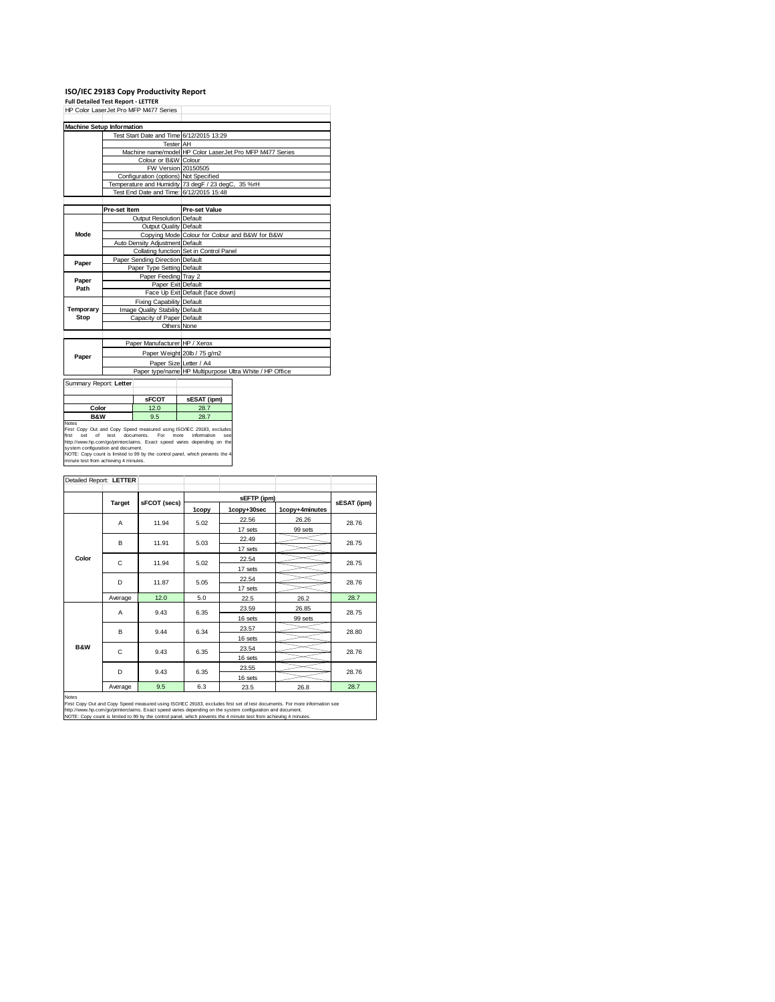# **ISO/IEC 29183 Copy Productivity Report Full Detailed Test Report ‐ LETTER** HP Color LaserJet Pro MFP M477 Series

| HP Color Laser Jet Pro MFP M477 Series |                                          |                                                          |  |  |  |
|----------------------------------------|------------------------------------------|----------------------------------------------------------|--|--|--|
|                                        |                                          |                                                          |  |  |  |
|                                        | <b>Machine Setup Information</b>         |                                                          |  |  |  |
|                                        | Test Start Date and Time 6/12/2015 13:29 |                                                          |  |  |  |
|                                        | <b>Tester</b> AH                         |                                                          |  |  |  |
|                                        |                                          | Machine name/model HP Color LaserJet Pro MFP M477 Series |  |  |  |
|                                        | Colour or B&W Colour                     |                                                          |  |  |  |
|                                        | FW Version 20150505                      |                                                          |  |  |  |
|                                        | Configuration (options) Not Specified    |                                                          |  |  |  |
|                                        |                                          | Temperature and Humidity 73 degF / 23 degC, 35 %rH       |  |  |  |
|                                        | Test End Date and Time: 6/12/2015 15:48  |                                                          |  |  |  |
|                                        |                                          |                                                          |  |  |  |
|                                        | Pre-set Item                             | Pre-set Value                                            |  |  |  |
|                                        | Output Resolution Default                |                                                          |  |  |  |
|                                        | Output Quality Default                   |                                                          |  |  |  |
| Mode                                   |                                          | Copying Mode Colour for Colour and B&W for B&W           |  |  |  |
|                                        | Auto Density Adjustment Default          |                                                          |  |  |  |
|                                        |                                          | Collating function Set in Control Panel                  |  |  |  |
| Paper                                  | Paper Sending Direction Default          |                                                          |  |  |  |
|                                        | Paper Type Setting Default               |                                                          |  |  |  |
| Paper                                  | Paper Feeding Tray 2                     |                                                          |  |  |  |
| Path                                   | Paper Exit Default                       |                                                          |  |  |  |
|                                        |                                          | Face Up Exit Default (face down)                         |  |  |  |
|                                        | <b>Fixing Capability Default</b>         |                                                          |  |  |  |
| Temporary                              | Image Quality Stability Default          |                                                          |  |  |  |
| Stop                                   | Capacity of Paper Default                |                                                          |  |  |  |
|                                        | Others None                              |                                                          |  |  |  |
|                                        |                                          |                                                          |  |  |  |
|                                        | Paper Manufacturer HP / Xerox            |                                                          |  |  |  |
|                                        |                                          | Paper Weight 20lb / 75 g/m2                              |  |  |  |
| Paper                                  |                                          | Paper Size Letter / A4                                   |  |  |  |
|                                        |                                          | Paper type/name HP Multipurpose Ultra White / HP Office  |  |  |  |
| Summary Report: Letter                 |                                          |                                                          |  |  |  |
|                                        |                                          |                                                          |  |  |  |

|                                                                                                                                                                                                                                                                                                                                                                       | <b>sFCOT</b> | sESAT (ipm)                |
|-----------------------------------------------------------------------------------------------------------------------------------------------------------------------------------------------------------------------------------------------------------------------------------------------------------------------------------------------------------------------|--------------|----------------------------|
| Color                                                                                                                                                                                                                                                                                                                                                                 | 12.0         | 28.7                       |
| <b>B&amp;W</b>                                                                                                                                                                                                                                                                                                                                                        | 9.5          | 28.7                       |
| <b>Notes</b><br>First Copy Out and Copy Speed measured using ISO/IEC 29183, excludes<br>first<br>set of test documents. For<br>http://www.hp.com/go/printerclaims. Exact speed varies depending on the<br>system configuration and document.<br>NOTE: Copy count is limited to 99 by the control panel, which prevents the 4<br>minute test from achieving 4 minutes. |              | information<br>more<br>see |

| Detailed Report: LETTER |               |              |             |             |                |             |
|-------------------------|---------------|--------------|-------------|-------------|----------------|-------------|
|                         |               |              | sEFTP (ipm) |             |                |             |
|                         | <b>Target</b> | sFCOT (secs) | 1copy       | 1copy+30sec | 1copy+4minutes | sESAT (ipm) |
|                         | A             | 11.94        | 5.02        | 22.56       | 26.26          | 28.76       |
|                         |               |              |             | 17 sets     | 99 sets        |             |
|                         | B             | 11.91        | 5.03        | 22.49       |                | 28.75       |
|                         |               |              |             | 17 sets     |                |             |
| Color                   | C             | 11.94        | 5.02        | 22.54       |                | 28.75       |
|                         |               |              |             | 17 sets     |                |             |
|                         | D             | 11.87        | 5.05        | 22.54       |                | 28.76       |
|                         |               |              |             | 17 sets     |                |             |
|                         | Average       | 12.0         | 5.0         | 22.5        | 26.2           | 28.7        |
|                         | A             | 9.43         | 6.35        | 23.59       | 26.85          | 28.75       |
|                         |               |              |             | 16 sets     | 99 sets        |             |
|                         | B             | 9.44         | 6.34        | 23.57       |                | 28.80       |
|                         |               |              |             | 16 sets     |                |             |
| <b>B&amp;W</b>          | C             | 9.43         | 6.35        | 23.54       |                | 28.76       |
|                         |               |              |             | 16 sets     |                |             |
|                         | D             | 9.43         | 6.35        | 23.55       |                | 28.76       |
|                         |               |              |             | 16 sets     |                |             |
|                         | Average       | 9.5          | 6.3         | 23.5        | 26.8           | 28.7        |

Notes<br>First Copy Out and Copy Speed measured using ISO/IEC 29183, excludes first set of test documents. For more information see<br>http://www.fp.com/go/printectaims. Exact speed varies depending on the system configuration a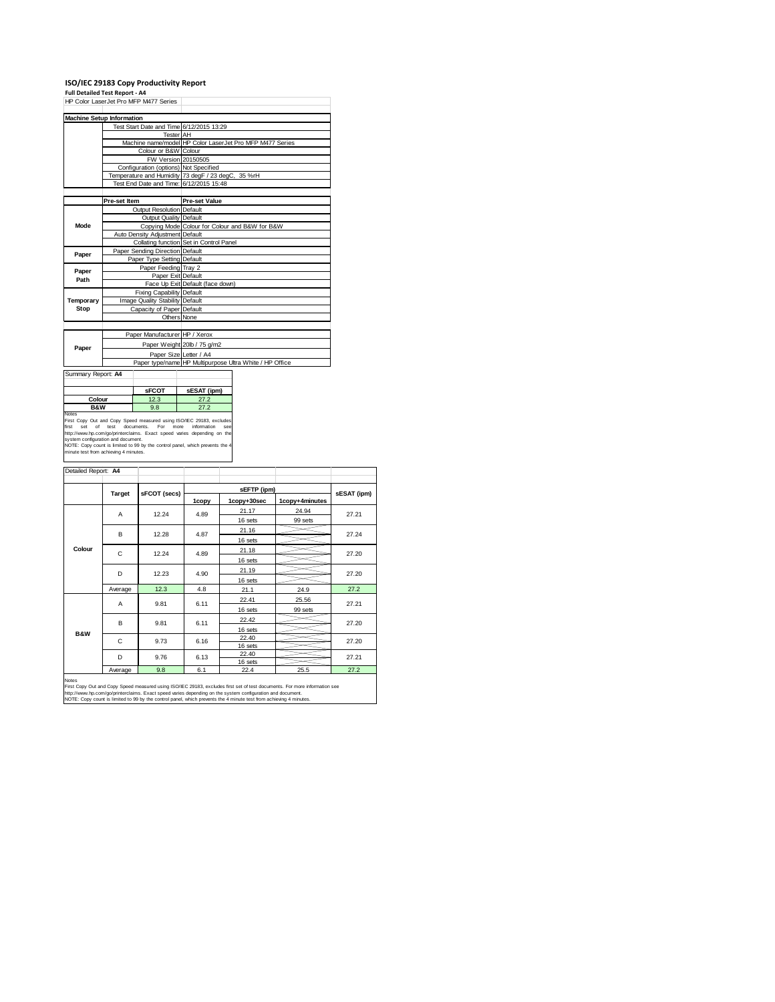### **ISO/IEC 29183 Copy Productivity Report Full Detailed Test Report ‐ A4**

|                    | HP Color LaserJet Pro MFP M477 Series    |                                                          |
|--------------------|------------------------------------------|----------------------------------------------------------|
|                    | <b>Machine Setup Information</b>         |                                                          |
|                    | Test Start Date and Time 6/12/2015 13:29 |                                                          |
|                    | <b>Tester</b> AH                         |                                                          |
|                    |                                          | Machine name/model HP Color LaserJet Pro MFP M477 Series |
|                    | Colour or B&W Colour                     |                                                          |
|                    | FW Version 20150505                      |                                                          |
|                    | Configuration (options) Not Specified    |                                                          |
|                    |                                          | Temperature and Humidity 73 degF / 23 degC, 35 %rH       |
|                    | Test End Date and Time: 6/12/2015 15:48  |                                                          |
|                    |                                          |                                                          |
|                    | Pre-set Item                             | <b>Pre-set Value</b>                                     |
|                    | Output Resolution Default                |                                                          |
|                    | <b>Output Quality Default</b>            |                                                          |
| Mode               |                                          | Copying Mode Colour for Colour and B&W for B&W           |
|                    | Auto Density Adjustment Default          |                                                          |
|                    |                                          | Collating function Set in Control Panel                  |
| Paper              | Paper Sending Direction Default          |                                                          |
|                    | Paper Type Setting Default               |                                                          |
|                    | Paper Feeding Tray 2                     |                                                          |
| Paper<br>Path      | Paper Exit Default                       |                                                          |
|                    |                                          | Face Up Exit Default (face down)                         |
|                    | <b>Fixing Capability Default</b>         |                                                          |
| Temporary          | Image Quality Stability Default          |                                                          |
| Stop               | Capacity of Paper Default                |                                                          |
|                    | Others None                              |                                                          |
|                    |                                          |                                                          |
|                    | Paper Manufacturer HP / Xerox            |                                                          |
|                    |                                          | Paper Weight 20lb / 75 g/m2                              |
| Paper              | Paper Size Letter / A4                   |                                                          |
|                    |                                          | Paper type/name HP Multipurpose Ultra White / HP Office  |
|                    |                                          |                                                          |
| Summary Report: A4 |                                          |                                                          |

| .                                                                                                                                                                                                                                                                                                                                              |                             |                    |
|------------------------------------------------------------------------------------------------------------------------------------------------------------------------------------------------------------------------------------------------------------------------------------------------------------------------------------------------|-----------------------------|--------------------|
|                                                                                                                                                                                                                                                                                                                                                | <b>SFCOT</b>                | sESAT (ipm)        |
| 12.3<br>Colour<br>27.2                                                                                                                                                                                                                                                                                                                         |                             |                    |
| <b>B&amp;W</b>                                                                                                                                                                                                                                                                                                                                 | 9.8                         | 27.2               |
| <b>Notes</b><br>First Copy Out and Copy Speed measured using ISO/IEC 29183, excludes<br>first<br>set<br>http://www.hp.com/go/printerclaims. Exact speed varies depending on the<br>system configuration and document.<br>NOTE: Copy count is limited to 99 by the control panel, which prevents the 4<br>minute test from achieving 4 minutes. | of test documents. For more | information<br>see |

| Detailed Report: A4 |               |              |       |                  |                |             |  |
|---------------------|---------------|--------------|-------|------------------|----------------|-------------|--|
|                     |               |              |       |                  |                |             |  |
|                     | <b>Target</b> | sFCOT (secs) | 1copy | 1copy+30sec      | 1copy+4minutes | sESAT (ipm) |  |
|                     | A             | 12.24        | 4.89  | 21.17            | 24.94          | 27.21       |  |
|                     |               |              |       | 16 sets          | 99 sets        |             |  |
|                     | B             | 12.28        | 4.87  | 21.16            |                | 27.24       |  |
|                     |               |              |       | 16 sets          |                |             |  |
| Colour              | C             | 12.24        | 4.89  | 21.18            |                | 27.20       |  |
|                     |               |              |       | 16 sets          |                |             |  |
|                     | D             | 12.23        | 4.90  | 21.19            |                | 27.20       |  |
|                     |               |              |       | 16 sets          |                |             |  |
|                     | Average       | 12.3         | 4.8   | 21.1             | 24.9           | 27.2        |  |
|                     | A             | 9.81         | 6.11  | 22.41            | 25.56          | 27.21       |  |
|                     |               |              |       | 16 sets          | 99 sets        |             |  |
|                     | B             | 9.81         | 6.11  | 22.42            |                | 27.20       |  |
| <b>B&amp;W</b>      |               |              |       | 16 sets          |                |             |  |
|                     | C             | 9.73         | 6.16  | 22.40            |                | 27.20       |  |
|                     | D             | 9.76         | 6.13  | 16 sets<br>22.40 |                |             |  |
|                     |               |              |       | 16 sets          |                | 27.21       |  |
|                     | Average       | <b>98</b>    | 61    | 224              | 25.5           | 272         |  |

Average 8.8 6.1 22.4 25.5 27.2<br>
Notes<br>
First Copy Out and Copy Speed measured using ISO/IEC 29183, excludes first set of test documents. For more information see<br>
http://www.hp.com/go/printectaims. Exact speed measured usi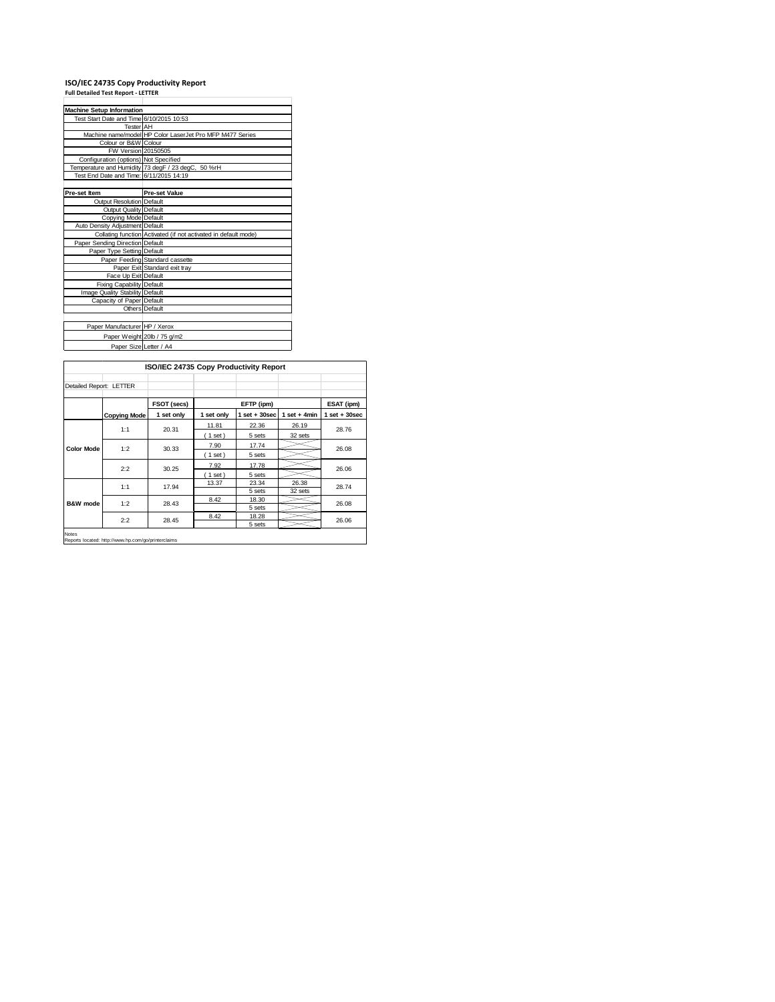## **ISO/IEC 24735 Copy Productivity Report Full Detailed Test Report ‐ LETTER**

| <b>Machine Setup Information</b>         |                                                                 |
|------------------------------------------|-----------------------------------------------------------------|
| Test Start Date and Time 6/10/2015 10:53 |                                                                 |
| <b>Tester</b> AH                         |                                                                 |
|                                          | Machine name/model HP Color LaserJet Pro MFP M477 Series        |
| Colour or B&W Colour                     |                                                                 |
| FW Version 20150505                      |                                                                 |
| Configuration (options) Not Specified    |                                                                 |
|                                          | Temperature and Humidity 73 degF / 23 degC, 50 %rH              |
| Test End Date and Time: 6/11/2015 14:19  |                                                                 |
|                                          |                                                                 |
| Pre-set Item                             | <b>Pre-set Value</b>                                            |
| Output Resolution Default                |                                                                 |
| Output Quality Default                   |                                                                 |
| Copying Mode Default                     |                                                                 |
| Auto Density Adjustment Default          |                                                                 |
|                                          | Collating function Activated (if not activated in default mode) |
| Paper Sending Direction Default          |                                                                 |
| Paper Type Setting Default               |                                                                 |
|                                          | Paper Feeding Standard cassette                                 |
|                                          | Paper Exit Standard exit tray                                   |
| Face Up Exit Default                     |                                                                 |
| Fixing Capability Default                |                                                                 |
| Image Quality Stability Default          |                                                                 |
| Capacity of Paper Default                |                                                                 |
|                                          | Others Default                                                  |
|                                          |                                                                 |
| Paper Manufacturer HP / Xerox            |                                                                 |
|                                          | Paper Weight 20lb / 75 g/m2                                     |
| Paper Size Letter / A4                   |                                                                 |

|                         |                     | ISO/IEC 24735 Copy Productivity Report |            |                   |                |                 |
|-------------------------|---------------------|----------------------------------------|------------|-------------------|----------------|-----------------|
| Detailed Report: LETTER |                     |                                        |            |                   |                |                 |
|                         |                     | FSOT (secs)                            |            | EFTP (ipm)        |                | ESAT (ipm)      |
|                         | <b>Copying Mode</b> | 1 set only                             | 1 set only | $1$ set $+30$ sec | $1$ set + 4min | $1$ set + 30sec |
|                         | 1:1                 | 20.31                                  | 11.81      | 22.36             | 26.19          | 28.76           |
|                         |                     |                                        | $(1$ set)  | 5 sets            | 32 sets        |                 |
| <b>Color Mode</b>       | 1:2                 | 30.33                                  | 7.90       | 17.74             |                | 26.08           |
|                         |                     |                                        | $1$ set)   | 5 sets            |                |                 |
|                         | 2:2                 | 30.25                                  | 7.92       | 17.78             |                | 26.06           |
|                         |                     |                                        | (1 set)    | 5 sets            |                |                 |
| <b>B&amp;W</b> mode     | 1:1                 | 17.94                                  | 13.37      | 23.34             | 26.38          | 28.74           |
|                         |                     |                                        |            | 5 sets            | 32 sets        |                 |
|                         | 1:2                 | 28.43                                  | 8.42       | 18.30             |                | 26.08           |
|                         |                     |                                        |            | 5 sets            |                |                 |
|                         | 2:2                 | 28.45                                  | 8.42       | 18.28             |                | 26.06           |
|                         |                     |                                        |            | 5 sets            |                |                 |